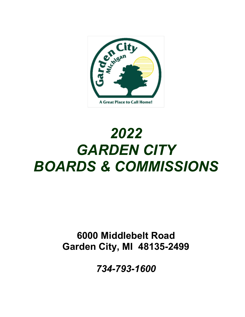

# *2022 GARDEN CITY BOARDS & COMMISSIONS*

## **6000 Middlebelt Road Garden City, MI 48135-2499**

*734-793-1600*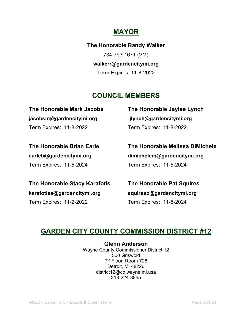## **MAYOR**

**The Honorable Randy Walker** 734-793-1671 (VM) **walkerr@gardencitymi.org**  Term Expires: 11-8-2022

## **COUNCIL MEMBERS**

**jacobsm@gardencitymi.org jlynch@gardencitymi.org** Term Expires: 11-8-2022 Term Expires: 11-8-2022

**The Honorable Mark Jacobs The Honorable Jaylee Lynch**

Term Expires: 11-5-2024 Term Expires: 11-5-2024

**The Honorable Brian Earle The Honorable Melissa DiMichele earleb@gardencitymi.org dimichelem@gardencitymi.org**

**The Honorable Stacy Karafotis The Honorable Pat Squires karafotiss@gardencitymi.org squiresp@gardencitymi.org** Term Expires: 11-2-2022 Term Expires: 11-5-2024

## **GARDEN CITY COUNTY COMMISSION DISTRICT #12**

**Glenn Anderson** Wayne County Commissioner District 12 500 Griswold 7th Floor, Room 728 Detroit, MI 48226 district12@co.wayne.mi.usa 313-224-8855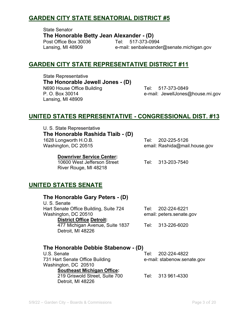#### **GARDEN CITY STATE SENATORIAL DISTRICT #5**

State Senator **The Honorable Betty Jean Alexander - (D)** Post Office Box 30036 Tel:

Lansing, MI 48909 e-mail: senbalexander@senate.michigan.gov

#### **GARDEN CITY STATE REPRESENTATIVE DISTRICT #11**

State Representative **The Honorable Jewell Jones - (D)** N690 House Office Building Tel: 517-373-0849 P. O. Box 30014 e-mail: JewellJones@house.mi.gov Lansing, MI 48909

#### **UNITED STATES REPRESENTATIVE - CONGRESSIONAL DIST. #13**

U. S. State Representative **The Honorable Rashida Tlaib - (D)** 1628 Longworth H.O.B. Tel: 202-225-5126

Washington, DC 20515 email: Rashida@mail.house.gov

#### **Downriver Service Center:**

 10600 West Jefferson Street Tel: 313-203-7540 River Rouge, MI 48218

#### **UNITED STATES SENATE**

#### **The Honorable Gary Peters - (D)**

U. S. Senate Hart Senate Office Building, Suite 724 Tel: 202-224-6221 Washington, DC 20510 email: peters.senate.gov  **District Office Detroit:** 

 477 Michigan Avenue, Suite 1837 Tel: 313-226-6020 Detroit, MI 48226

## **The Honorable Debbie Stabenow - (D)**

731 Hart Senate Office Building e-mail: stabenow.senate.gov Washington, DC 20510  **Southeast Michigan Office:**  219 Griswold Street, Suite 700 Tel: 313 961-4330 Detroit, MI 48226

Tel: 202-224-4822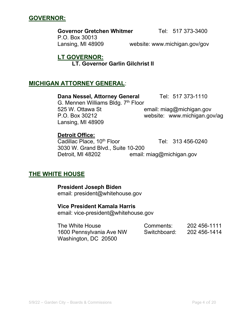

**GOVERNOR:**

**THE WHITE HOUSE** 

 **President Joseph Biden**  email: president@whitehouse.gov

#### **Vice President Kamala Harris**

email: vice-president@whitehouse.gov

| The White House          | Comments:    | 202 456-1111 |
|--------------------------|--------------|--------------|
| 1600 Pennsylvania Ave NW | Switchboard: | 202 456-1414 |
| Washington, DC 20500     |              |              |

#### **Governor Gretchen Whitmer** Tel: 517 373-3400

P.O. Box 30013 Lansing, MI 48909 website: www.michigan.gov/gov

#### **LT GOVERNOR: LT. Governor Garlin Gilchrist II**

#### **MICHIGAN ATTORNEY GENERAL**:

Lansing, MI 48909

**Detroit Office:**

#### **Dana Nessel, Attorney General Tel: 517 373-1110** G. Mennen Williams Bldg. 7<sup>th</sup> Floor

525 W. Ottawa St **Example 20 Finalli** miag@michigan.gov P.O. Box 30212 website: www.michigan.gov/ag

Cadillac Place,  $10^{th}$  Floor Tel:  $313\,456-0240$ 

 3030 W. Grand Blvd., Suite 10-200 Detroit, MI 48202 email: miag@michigan.gov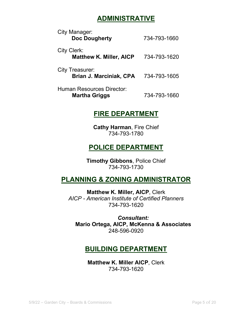## **ADMINISTRATIVE**

| City Manager:<br><b>Doc Dougherty</b>                    | 734-793-1660 |
|----------------------------------------------------------|--------------|
| City Clerk:<br><b>Matthew K. Miller, AICP</b>            | 734-793-1620 |
| <b>City Treasurer:</b><br><b>Brian J. Marciniak, CPA</b> | 734-793-1605 |
| Human Resources Director:<br><b>Martha Griggs</b>        | 734-793-1660 |

#### **FIRE DEPARTMENT**

**Cathy Harman**, Fire Chief 734-793-1780

## **POLICE DEPARTMENT**

**Timothy Gibbons**, Police Chief 734-793-1730

## **PLANNING & ZONING ADMINISTRATOR**

**Matthew K. Miller, AICP**, Clerk *AICP - American Institute of Certified Planners* 734-793-1620

*Consultant:* **Mario Ortega, AICP, McKenna & Associates** 248-596-0920

## **BUILDING DEPARTMENT**

**Matthew K. Miller AICP**, Clerk 734-793-1620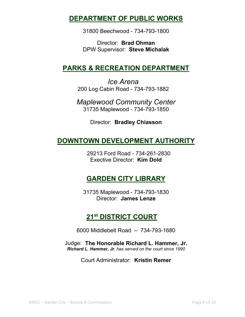#### **DEPARTMENT OF PUBLIC WORKS**

31800 Beechwood - 734-793-1800

Director: **Brad Ohman** DPW Supervisor: **Steve Michalak**

## **PARKS & RECREATION DEPARTMENT**

*Ice Arena* 200 Log Cabin Road - 734-793-1882

*Maplewood Community Center* 31735 Maplewood - 734-793-1850

Director: **Bradley Chiasson**

## **DOWNTOWN DEVELOPMENT AUTHORITY**

29213 Ford Road - 734-261-2830 Exective Director: **Kim Dold**

## **GARDEN CITY LIBRARY**

31735 Maplewood - 734-793-1830 Director: **James Lenze**

## **21st DISTRICT COURT**

6000 Middlebelt Road – 734-793-1680

Judge: **The Honorable Richard L. Hammer, Jr.** *Richard L. Hammer, Jr. has served on the court since 1990*

Court Administrator: **Kristin Remer**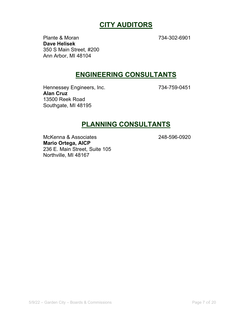## **CITY AUDITORS**

Plante & Moran 734-302-6901 **Dave Helisek** 350 S Main Street, #200 Ann Arbor, MI 48104

#### **ENGINEERING CONSULTANTS**

Hennessey Engineers, Inc. 734-759-0451 **Alan Cruz** 13500 Reek Road Southgate, MI 48195

#### **PLANNING CONSULTANTS**

McKenna & Associates 248-596-0920 **Mario Ortega, AICP**  236 E. Main Street, Suite 105 Northville, MI 48167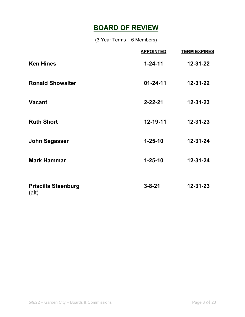## **BOARD OF REVIEW**

(3 Year Terms – 6 Members)

|                                     | <b>APPOINTED</b> | <b>TERM EXPIRES</b> |
|-------------------------------------|------------------|---------------------|
| <b>Ken Hines</b>                    | $1 - 24 - 11$    | 12-31-22            |
| <b>Ronald Showalter</b>             | $01 - 24 - 11$   | $12 - 31 - 22$      |
| <b>Vacant</b>                       | $2 - 22 - 21$    | $12 - 31 - 23$      |
| <b>Ruth Short</b>                   | 12-19-11         | $12 - 31 - 23$      |
| <b>John Segasser</b>                | $1 - 25 - 10$    | $12 - 31 - 24$      |
| <b>Mark Hammar</b>                  | $1 - 25 - 10$    | $12 - 31 - 24$      |
| <b>Priscilla Steenburg</b><br>(alt) | $3 - 8 - 21$     | $12 - 31 - 23$      |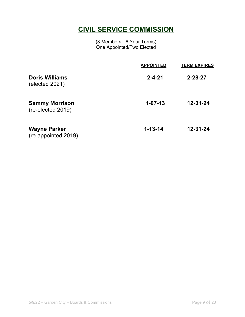## **CIVIL SERVICE COMMISSION**

(3 Members - 6 Year Terms) One Appointed/Two Elected

|                                            | <b>APPOINTED</b> | <b>TERM EXPIRES</b> |
|--------------------------------------------|------------------|---------------------|
| <b>Doris Williams</b><br>(elected 2021)    | $2 - 4 - 21$     | $2 - 28 - 27$       |
| <b>Sammy Morrison</b><br>(re-elected 2019) | $1 - 07 - 13$    | 12-31-24            |
| <b>Wayne Parker</b><br>(re-appointed 2019) | $1 - 13 - 14$    | $12 - 31 - 24$      |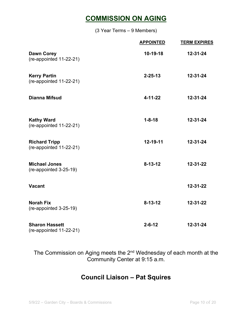## **COMMISSION ON AGING**

(3 Year Terms – 9 Members)

|                                                  | <b>APPOINTED</b> | <b>TERM EXPIRES</b> |
|--------------------------------------------------|------------------|---------------------|
| <b>Dawn Corey</b><br>(re-appointed 11-22-21)     | $10-19-18$       | $12 - 31 - 24$      |
| <b>Kerry Partin</b><br>(re-appointed 11-22-21)   | $2 - 25 - 13$    | $12 - 31 - 24$      |
| <b>Dianna Mifsud</b>                             | $4 - 11 - 22$    | $12 - 31 - 24$      |
| <b>Kathy Ward</b><br>(re-appointed 11-22-21)     | $1 - 8 - 18$     | $12 - 31 - 24$      |
| <b>Richard Tripp</b><br>(re-appointed 11-22-21)  | 12-19-11         | $12 - 31 - 24$      |
| <b>Michael Jones</b><br>(re-appointed 3-25-19)   | $8 - 13 - 12$    | $12 - 31 - 22$      |
| <b>Vacant</b>                                    |                  | $12 - 31 - 22$      |
| <b>Norah Fix</b><br>(re-appointed 3-25-19)       | $8 - 13 - 12$    | 12-31-22            |
| <b>Sharon Hassett</b><br>(re-appointed 11-22-21) | $2 - 6 - 12$     | 12-31-24            |

The Commission on Aging meets the 2<sup>nd</sup> Wednesday of each month at the Community Center at 9:15 a.m.

#### **Council Liaison – Pat Squires**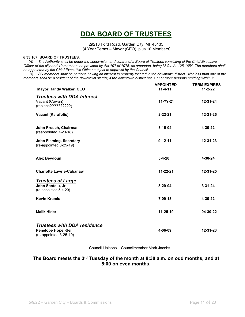## **DDA BOARD OF TRUSTEES**

29213 Ford Road, Garden City, MI 48135 (4 Year Terms – Mayor (CEO), plus 10 Members)

#### **§ 33.167 BOARD OF TRUSTEES.**

 *(A) The Authority shall be under the supervision and control of a Board of Trustees consisting of the Chief Executive Officer of the city and 10 members as provided by Act 197 of 1975, as amended, being M.C.L.A. 125.1654. The members shall be appointed by the Chief Executive Officer subject to approval by the Council.*

 *(B) Six members shall be persons having an interest in property located in the downtown district. Not less than one of the members shall be a resident of the downtown district, if the downtown district has 100 or more persons residing within it...* 

|                                                                                    | <b>APPOINTED</b> | <b>TERM EXPIRES</b> |
|------------------------------------------------------------------------------------|------------------|---------------------|
| <b>Mayor Randy Walker, CEO</b>                                                     | $11 - 4 - 11$    | $11 - 2 - 22$       |
| <b>Trustees with DDA Interest</b><br>Vacant (Cowan)<br>(replace??????????)         | $11-22-21$       | 12-31-24            |
| <b>Vacant (Karafotis)</b>                                                          | $2 - 22 - 21$    | 12-31-25            |
| John Prosch, Chairman<br>(reappointed 7-23-18)                                     | $8 - 16 - 04$    | 4-30-22             |
| <b>John Fleming, Secretary</b><br>(re-appointed 3-25-19)                           | $9 - 12 - 11$    | 12-31-23            |
| <b>Alex Beydoun</b>                                                                | $5 - 4 - 20$     | 4-30-24             |
| <b>Charlotte Lawrie-Cabanaw</b>                                                    | $11 - 22 - 21$   | 12-31-25            |
| <b>Trustees at Large</b><br>John Santeiu, Jr.,<br>(re-appointed 5-4-20)            | $3 - 29 - 04$    | $3 - 31 - 24$       |
| <b>Kevin Kramis</b>                                                                | $7 - 09 - 18$    | 4-30-22             |
| <b>Malik Hider</b>                                                                 | $11 - 25 - 19$   | 04-30-22            |
| <b>Trustees with DDA residence</b><br>Penelope Hope Klei<br>(re-appointed 3-25-19) | 4-06-09          | $12 - 31 - 23$      |

Council Liaisons – Councilmember Mark Jacobs

#### **The Board meets the 3rd Tuesday of the month at 8:30 a.m. on odd months, and at 5:00 on even months.**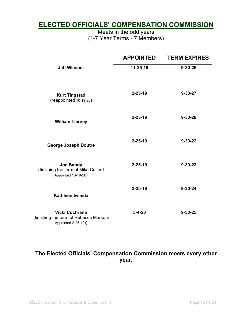#### **ELECTED OFFICIALS' COMPENSATION COMMISSION**

Meets in the odd years (1-7 Year Terms - 7 Members)

|                                                                                        | <b>APPOINTED</b> | <b>TERM EXPIRES</b> |
|----------------------------------------------------------------------------------------|------------------|---------------------|
| <b>Jeff Wiesner</b>                                                                    | 11-25-19         | $9 - 30 - 26$       |
| <b>Kurt Tingstad</b><br>(reappointed 10-19-20)                                         | $2 - 25 - 19$    | $9 - 30 - 27$       |
| <b>William Tierney</b>                                                                 | $2 - 25 - 19$    | $9 - 30 - 28$       |
| <b>George Joseph Doutre</b>                                                            | $2 - 25 - 19$    | $9 - 30 - 22$       |
| <b>Joe Bandy</b><br>(finishing the term of Mike Collard<br>Appointed 10-19-20)         | $2 - 25 - 19$    | $9 - 30 - 23$       |
| Kathleen Iwinski                                                                       | $2 - 25 - 19$    | $9 - 30 - 24$       |
| <b>Vicki Cochrane</b><br>(finishing the term of Rebecca Markoni<br>Appointed 2-25-19)) | $5 - 4 - 20$     | $9 - 30 - 25$       |

#### **The Elected Officials' Compensation Commission meets every other year.**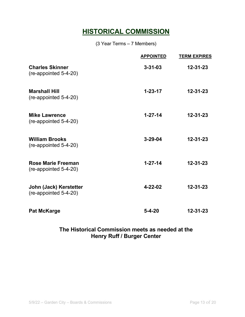## **HISTORICAL COMMISSION**

(3 Year Terms – 7 Members)

|                                                    | <b>APPOINTED</b> | <b>TERM EXPIRES</b> |
|----------------------------------------------------|------------------|---------------------|
| <b>Charles Skinner</b><br>(re-appointed 5-4-20)    | $3 - 31 - 03$    | $12 - 31 - 23$      |
| <b>Marshall Hill</b><br>(re-appointed 5-4-20)      | $1 - 23 - 17$    | $12 - 31 - 23$      |
| <b>Mike Lawrence</b><br>(re-appointed 5-4-20)      | $1 - 27 - 14$    | $12 - 31 - 23$      |
| <b>William Brooks</b><br>(re-appointed 5-4-20)     | $3 - 29 - 04$    | $12 - 31 - 23$      |
| <b>Rose Marie Freeman</b><br>(re-appointed 5-4-20) | $1 - 27 - 14$    | $12 - 31 - 23$      |
| John (Jack) Kerstetter<br>(re-appointed 5-4-20)    | $4 - 22 - 02$    | 12-31-23            |
| <b>Pat McKarge</b>                                 | $5 - 4 - 20$     | 12-31-23            |

#### **The Historical Commission meets as needed at the Henry Ruff / Burger Center**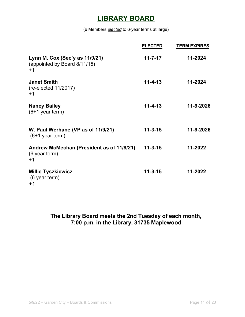## **LIBRARY BOARD**

(6 Members *elected* to 6-year terms at large)

|                                                                      | <b>ELECTED</b> | <b>TERM EXPIRES</b> |
|----------------------------------------------------------------------|----------------|---------------------|
| Lynn M. Cox (Sec'y as 11/9/21)<br>(appointed by Board 8/11/15)<br>+1 | $11 - 7 - 17$  | 11-2024             |
| <b>Janet Smith</b><br>$(re-elected 11/2017)$<br>$+1$                 | $11 - 4 - 13$  | 11-2024             |
| <b>Nancy Bailey</b><br>$(6+1)$ year term)                            | $11 - 4 - 13$  | 11-9-2026           |
| W. Paul Werhane (VP as of 11/9/21)<br>$(6+1)$ year term)             | $11 - 3 - 15$  | 11-9-2026           |
| Andrew McMechan (President as of 11/9/21)<br>(6 year term)<br>$+1$   | $11 - 3 - 15$  | 11-2022             |
| <b>Millie Tyszkiewicz</b><br>(6 year term)<br>+1                     | $11 - 3 - 15$  | 11-2022             |

#### **The Library Board meets the 2nd Tuesday of each month, 7:00 p.m. in the Library, 31735 Maplewood**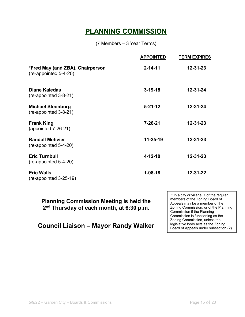## **PLANNING COMMISSION**

(7 Members – 3 Year Terms)

|                                                           | <b>APPOINTED</b> | <b>TERM EXPIRES</b> |
|-----------------------------------------------------------|------------------|---------------------|
| *Fred May (and ZBA), Chairperson<br>(re-appointed 5-4-20) | $2 - 14 - 11$    | $12 - 31 - 23$      |
| <b>Diane Kaledas</b><br>(re-appointed 3-8-21)             | $3 - 19 - 18$    | $12 - 31 - 24$      |
| <b>Michael Steenburg</b><br>(re-appointed 3-8-21)         | $5 - 21 - 12$    | $12 - 31 - 24$      |
| <b>Frank King</b><br>(appointed $7-26-21$ )               | $7 - 26 - 21$    | $12 - 31 - 23$      |
| <b>Randall Metivier</b><br>(re-appointed 5-4-20)          | $11 - 25 - 19$   | $12 - 31 - 23$      |
| <b>Eric Turnbull</b><br>(re-appointed 5-4-20)             | $4 - 12 - 10$    | $12 - 31 - 23$      |
| <b>Eric Walls</b><br>$(re-appointed 3-25-19)$             | $1 - 08 - 18$    | $12 - 31 - 22$      |

**Planning Commission Meeting is held the 2nd Thursday of each month, at 6:30 p.m.**

**Council Liaison – Mayor Randy Walker** 

\* In a city or village, 1 of the regular members of the Zoning Board of Appeals may be a member of the Zoning Commission, or of the Planning Commission if the Planning Commission is functioning as the Zoning Commission, unless the legislative body acts as the Zoning Board of Appeals under subsection (2).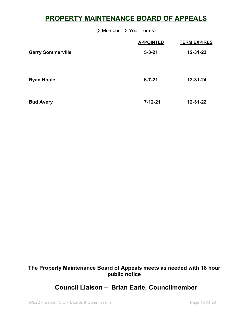## **PROPERTY MAINTENANCE BOARD OF APPEALS**

(3 Member – 3 Year Terms)

|                          | <b>APPOINTED</b> | <b>TERM EXPIRES</b> |
|--------------------------|------------------|---------------------|
| <b>Garry Sommerville</b> | $5 - 3 - 21$     | $12 - 31 - 23$      |
|                          |                  |                     |
|                          |                  |                     |
| <b>Ryan Houle</b>        | $6 - 7 - 21$     | $12 - 31 - 24$      |
|                          |                  |                     |
| <b>Bud Avery</b>         | $7 - 12 - 21$    | $12 - 31 - 22$      |
|                          |                  |                     |

**The Property Maintenance Board of Appeals meets as needed with 18 hour public notice**

#### **Council Liaison – Brian Earle, Councilmember**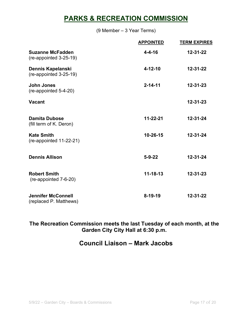## **PARKS & RECREATION COMMISSION**

(9 Member – 3 Year Terms)

|                                                     | <b>APPOINTED</b> | <b>TERM EXPIRES</b> |
|-----------------------------------------------------|------------------|---------------------|
| <b>Suzanne McFadden</b><br>(re-appointed 3-25-19)   | $4 - 4 - 16$     | $12 - 31 - 22$      |
| Dennis Kapelanski<br>(re-appointed 3-25-19)         | $4 - 12 - 10$    | $12 - 31 - 22$      |
| <b>John Jones</b><br>(re-appointed 5-4-20)          | $2 - 14 - 11$    | $12 - 31 - 23$      |
| <b>Vacant</b>                                       |                  | $12 - 31 - 23$      |
| <b>Damita Dubose</b><br>(fill term of K. Deron)     | $11 - 22 - 21$   | $12 - 31 - 24$      |
| <b>Kate Smith</b><br>(re-appointed 11-22-21)        | 10-26-15         | $12 - 31 - 24$      |
| <b>Dennis Allison</b>                               | $5 - 9 - 22$     | $12 - 31 - 24$      |
| <b>Robert Smith</b><br>(re-appointed 7-6-20)        | $11 - 18 - 13$   | $12 - 31 - 23$      |
| <b>Jennifer McConnell</b><br>(replaced P. Matthews) | $8 - 19 - 19$    | $12 - 31 - 22$      |

**The Recreation Commission meets the last Tuesday of each month, at the Garden City City Hall at 6:30 p.m.** 

#### **Council Liaison – Mark Jacobs**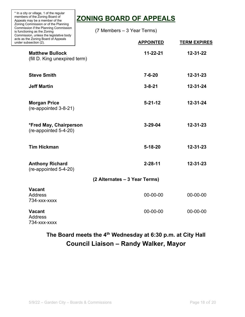| * In a city or village, 1 of the regular<br>members of the Zoning Board of<br>Appeals may be a member of the                                             | <b>ZONING BOARD OF APPEALS</b> |                     |  |
|----------------------------------------------------------------------------------------------------------------------------------------------------------|--------------------------------|---------------------|--|
| Zoning Commission or of the Planning<br>Commission if the Planning Commission<br>is functioning as the Zoning<br>Commission, unless the legislative body | (7 Members – 3 Year Terms)     |                     |  |
| acts as the Zoning Board of Appeals<br>under subsection (2).                                                                                             | <b>APPOINTED</b>               | <b>TERM EXPIRES</b> |  |
| <b>Matthew Bullock</b><br>(fill D. King unexpired term)                                                                                                  | $11 - 22 - 21$                 | $12 - 31 - 22$      |  |
| <b>Steve Smith</b>                                                                                                                                       | $7 - 6 - 20$                   | $12 - 31 - 23$      |  |
| <b>Jeff Martin</b>                                                                                                                                       | $3 - 8 - 21$                   | $12 - 31 - 24$      |  |
| <b>Morgan Price</b><br>(re-appointed 3-8-21)                                                                                                             | $5 - 21 - 12$                  | $12 - 31 - 24$      |  |
| *Fred May, Chairperson<br>(re-appointed 5-4-20)                                                                                                          | $3 - 29 - 04$                  | $12 - 31 - 23$      |  |
| <b>Tim Hickman</b>                                                                                                                                       | $5 - 18 - 20$                  | $12 - 31 - 23$      |  |
| <b>Anthony Richard</b><br>(re-appointed 5-4-20)                                                                                                          | $2 - 28 - 11$                  | $12 - 31 - 23$      |  |
|                                                                                                                                                          | (2 Alternates – 3 Year Terms)  |                     |  |
| <b>Vacant</b><br><b>Address</b><br>734-xxx-xxxx                                                                                                          | 00-00-00                       | 00-00-00            |  |
| <b>Vacant</b><br><b>Address</b><br>734-xxx-xxxx                                                                                                          | 00-00-00                       | 00-00-00            |  |

٦

## **The Board meets the 4th Wednesday at 6:30 p.m. at City Hall Council Liaison – Randy Walker, Mayor**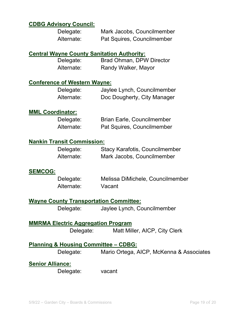#### **CDBG Advisory Council:**

| Delegate:  | Mark Jacobs, Councilmember |
|------------|----------------------------|
| Alternate: | Pat Squires, Councilmember |

#### **Central Wayne County Sanitation Authority:**

| Delegate:  | <b>Brad Ohman, DPW Director</b> |
|------------|---------------------------------|
| Alternate: | Randy Walker, Mayor             |

#### **Conference of Western Wayne:**

| Delegate:  | Jaylee Lynch, Councilmember |
|------------|-----------------------------|
| Alternate: | Doc Dougherty, City Manager |

#### **MML Coordinator:**

| Delegate:  | <b>Brian Earle, Councilmember</b> |
|------------|-----------------------------------|
| Alternate: | Pat Squires, Councilmember        |

#### **Nankin Transit Commission:**

| Delegate:  | <b>Stacy Karafotis, Councilmember</b> |
|------------|---------------------------------------|
| Alternate: | Mark Jacobs, Councilmember            |

#### **SEMCOG:**

| Delegate:  | Melissa DiMichele, Councilmember |
|------------|----------------------------------|
| Alternate: | Vacant                           |

#### **Wayne County Transportation Committee:**

Delegate: Jaylee Lynch, Councilmember

## **MMRMA Electric Aggregation Program**

Delegate: Matt Miller, AICP, City Clerk

#### **Planning & Housing Committee – CDBG:**

Delegate: Mario Ortega, AICP, McKenna & Associates

#### **Senior Alliance:**

Delegate: vacant